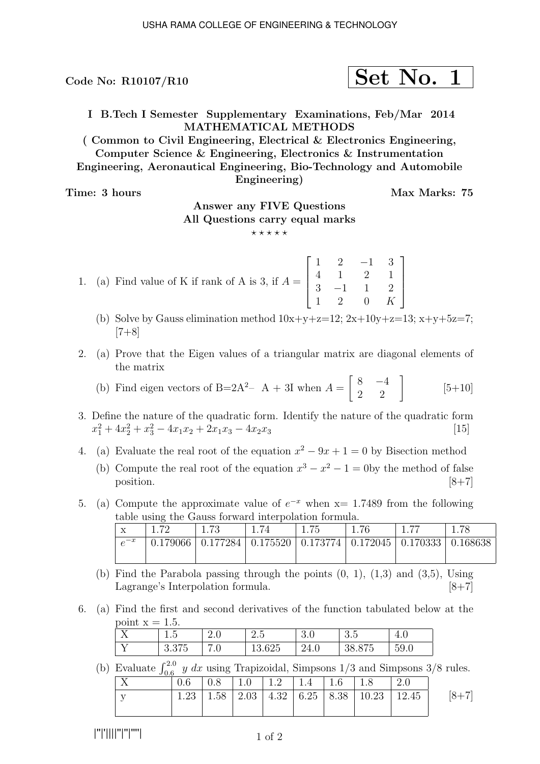Code No:  $R10107/R10$ 

$$
\fbox{Set No. 1}
$$

I B.Tech I Semester Supplementary Examinations, Feb/Mar 2014 MATHEMATICAL METHODS

( Common to Civil Engineering, Electrical & Electronics Engineering, Computer Science & Engineering, Electronics & Instrumentation Engineering, Aeronautical Engineering, Bio-Technology and Automobile Engineering)

Time: 3 hours and the set of the Max Marks: 75

# Answer any FIVE Questions All Questions carry equal marks

 $\star\star\star\star\star$ 

- 1. (a) Find value of K if rank of A is 3, if  $A =$  $\sqrt{ }$  $\frac{1}{\sqrt{2}}$  $1 \quad 2 \quad -1 \quad 3$ 4 1 2 1  $3 -1 1 2$ 1 2 0 K 1  $\begin{matrix} \phantom{-} \end{matrix}$ 
	- (b) Solve by Gauss elimination method  $10x+y+z=12$ ;  $2x+10y+z=13$ ;  $x+y+5z=7$ ;  $[7+8]$
- 2. (a) Prove that the Eigen values of a triangular matrix are diagonal elements of the matrix
	- (b) Find eigen vectors of B=2A<sup>2</sup>- A + 3I when  $A = \begin{bmatrix} 8 & -4 \\ 2 & 2 \end{bmatrix}$  $[5+10]$
- 3. Define the nature of the quadratic form. Identify the nature of the quadratic form  $x_1^2 + 4x_2^2 + x_3^2 - 4x_1x_2 + 2x_1x_3 - 4x_2x_3$  [15]

4. (a) Evaluate the real root of the equation  $x^2 - 9x + 1 = 0$  by Bisection method

- (b) Compute the real root of the equation  $x^3 x^2 1 = 0$  by the method of false position.  $[8+7]$
- 5. (a) Compute the approximate value of  $e^{-x}$  when  $x=1.7489$  from the following table using the Gauss forward interpolation formula.

| $\tau$<br>$\Lambda$ | 70       | -79                                                  |  |  |                 |
|---------------------|----------|------------------------------------------------------|--|--|-----------------|
| $c^{-x}$            | 0.179066 | 0.177284   0.175520   0.173774   0.172045   0.170333 |  |  | $\mid 0.168638$ |
|                     |          |                                                      |  |  |                 |

- (b) Find the Parabola passing through the points  $(0, 1)$ ,  $(1,3)$  and  $(3,5)$ , Using Lagrange's Interpolation formula. [8+7]
- 6. (a) Find the first and second derivatives of the function tabulated below at the point  $x = 1.5$ .

| $\mathbf{v}$<br>- -   | $\tilde{\phantom{a}}$<br>∽<br>1.U | $\omega \cdot v$            | $\tilde{\phantom{a}}$<br>$\Omega$<br>∠.∪  | ົ<br>U∙O | $\Omega$ $\blacksquare$<br>ಀ.ಀ                | I.V                   |
|-----------------------|-----------------------------------|-----------------------------|-------------------------------------------|----------|-----------------------------------------------|-----------------------|
| $\tilde{\phantom{a}}$ | $\sim$ $ -$<br>∪.∪⊺∪              | $\overline{ }$<br>$\cdot$ v | ∼∩∼<br>$\overline{\phantom{a}}$<br>10.040 | '4.U     | $\sim$ $\sim$ $\sim$<br>್<br>◡<br>$\check{ }$ | $\sim$ $\sim$<br>59.U |

(b) Evaluate  $\int_{0.6}^{2.0} y \, dx$  using Trapizoidal, Simpsons 1/3 and Simpsons 3/8 rules.

|    | $0.6\,$ | $\vert 0.8 \vert 1.0 \vert 1.2 \vert 1.4 \vert 1.6 \vert 1.8$ |  |                                                  |         |
|----|---------|---------------------------------------------------------------|--|--------------------------------------------------|---------|
| T. | 1.23    |                                                               |  | 1.58   2.03   4.32   6.25   8.38   10.23   12.45 | $[8+7]$ |
|    |         |                                                               |  |                                                  |         |

|''|'||||''|''|''''|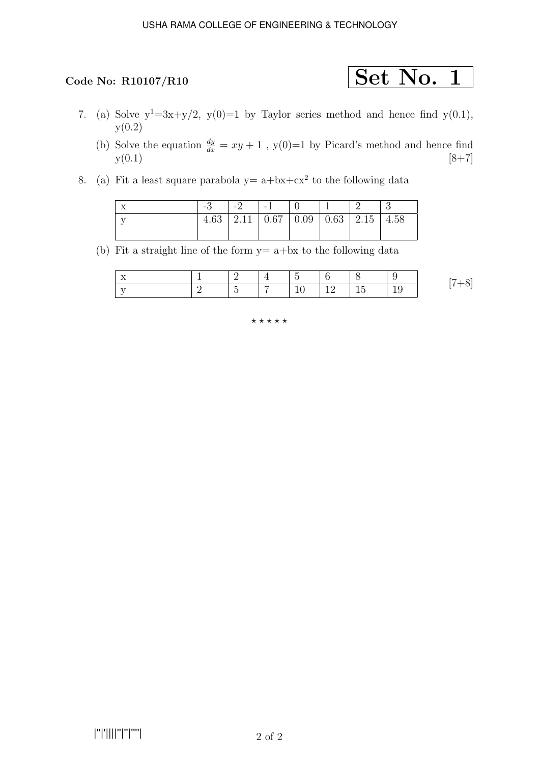- 7. (a) Solve  $y^1=3x+y/2$ ,  $y(0)=1$  by Taylor series method and hence find  $y(0.1)$ ,  $y(0.2)$ 
	- (b) Solve the equation  $\frac{dy}{dx} = xy + 1$ , y(0)=1 by Picard's method and hence find  $y(0.1)$  [8+7]
- 8. (a) Fit a least square parabola  $y = a + bx + cx^2$  to the following data

| ΙX |  | $\vert$ -2 $\vert$ -1 $\vert$ 0                  |  |  |
|----|--|--------------------------------------------------|--|--|
|    |  | $4.63$   2.11   0.67   0.09   0.63   2.15   4.58 |  |  |
|    |  |                                                  |  |  |

(b) Fit a straight line of the form  $y = a + bx$  to the following data

| $-$<br>. . |   | - |   |   |  |
|------------|---|---|---|---|--|
|            | - |   | — | - |  |

### $***$ \*\*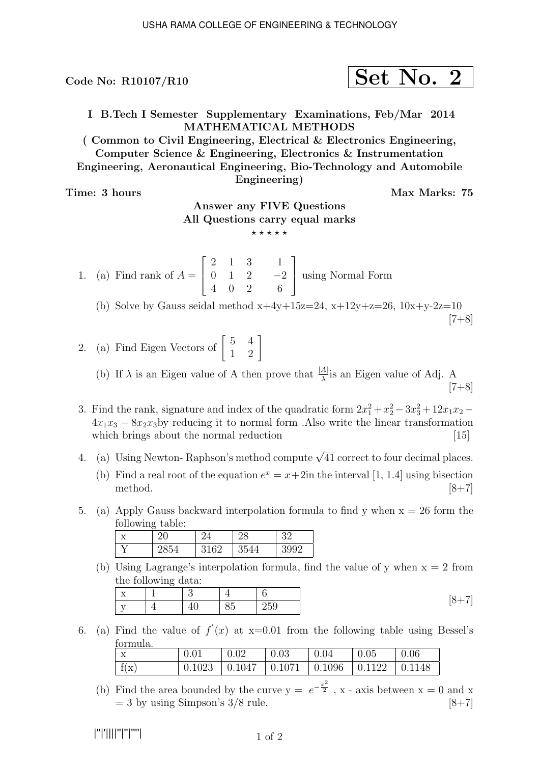Code No:  $R10107/R10$ 

$$
\fbox{Set No. 2}
$$

I B.Tech I Semester Supplementary Examinations, Feb/Mar 2014 MATHEMATICAL METHODS

( Common to Civil Engineering, Electrical & Electronics Engineering, Computer Science & Engineering, Electronics & Instrumentation Engineering, Aeronautical Engineering, Bio-Technology and Automobile Engineering)

Time: 3 hours Max Marks: 75

# Answer any FIVE Questions All Questions carry equal marks

 $***$ \*\*

1. (a) Find rank of  $A =$  $\sqrt{ }$  $\overline{\phantom{a}}$ 2 1 3 0 1 2 4 0 2 1  $\frac{-2}{c}$ 6 1 using Normal Form

(b) Solve by Gauss seidal method  $x+4y+15z=24$ ,  $x+12y+z=26$ ,  $10x+y-2z=10$  $[7+8]$ 

2. (a) Find Eigen Vectors of  $\begin{bmatrix} 5 & 4 \\ 1 & 2 \end{bmatrix}$ 

(b) If  $\lambda$  is an Eigen value of A then prove that  $\frac{|A|}{\lambda}$  is an Eigen value of Adj. A  $[7+8]$ 

3. Find the rank, signature and index of the quadratic form  $2x_1^2 + x_2^2 - 3x_3^2 + 12x_1x_2 4x_1x_3 - 8x_2x_3$  reducing it to normal form .Also write the linear transformation which brings about the normal reduction [15] which brings about the normal reduction

4. (a) Using Newton-Raphson's method compute  $\sqrt{41}$  correct to four decimal places.

- (b) Find a real root of the equation  $e^x = x + 2$ in the interval [1, 1.4] using bisection method.  $[8+7]$
- 5. (a) Apply Gauss backward interpolation formula to find y when  $x = 26$  form the following table:

| л | ◡                                   |                           |                    |    |
|---|-------------------------------------|---------------------------|--------------------|----|
|   | $\tilde{\phantom{a}}$<br>$\tilde{}$ | $\alpha$<br><b>.</b><br>ັ | . .<br>$\check{ }$ | ററ |

(b) Using Lagrange's interpolation formula, find the value of y when  $x = 2$  from the following data:

| $\mathbf{v}$<br>$\Lambda$<br>-- |    | -                                  |     |
|---------------------------------|----|------------------------------------|-----|
| $-$<br>. .                      | ΙV | $\sim$ $\sim$<br>٠.<br>$\check{ }$ | 259 |

6. (a) Find the value of  $f'(x)$  at  $x=0.01$  from the following table using Bessel's formula.

| $\boldsymbol{\mathrm{X}}$ | 0.02 | $\mid 0.03$                                                     | $\vert 0.04$ | $\pm 0.05$ | 0.06 |
|---------------------------|------|-----------------------------------------------------------------|--------------|------------|------|
| f(x)                      |      | $0.1023$   $0.1047$   $0.1071$   $0.1096$   $0.1122$   $0.1148$ |              |            |      |

(b) Find the area bounded by the curve  $y = e^{-\frac{x^2}{2}}$ , x - axis between  $x = 0$  and x  $= 3$  by using Simpson's  $3/8$  rule. [8+7]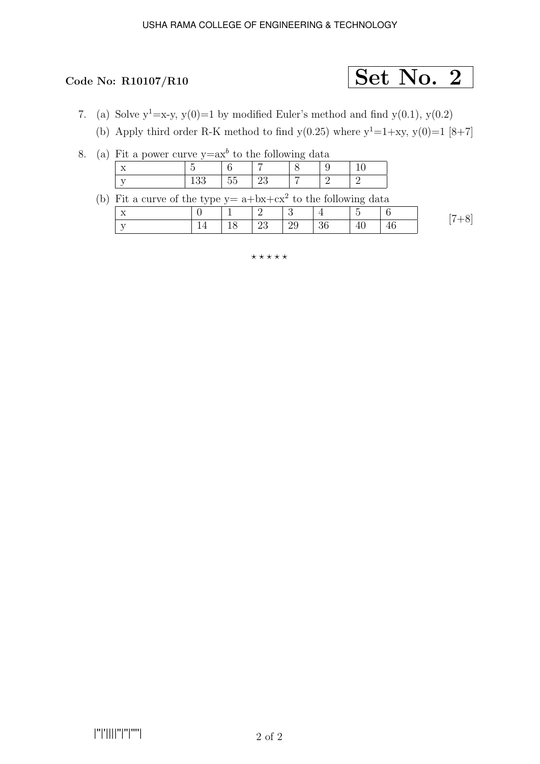# Code No: R10107/R10  $\boxed{\text{Set No. 2}}$

- 7. (a) Solve  $y^1=x-y$ ,  $y(0)=1$  by modified Euler's method and find  $y(0.1)$ ,  $y(0.2)$ 
	- (b) Apply third order R-K method to find  $y(0.25)$  where  $y^1=1+xy$ ,  $y(0)=1$  [8+7]

|  |  | 8. (a) Fit a power curve $y=ax^b$ to the following data |  |  |  |
|--|--|---------------------------------------------------------|--|--|--|
|  |  |                                                         |  |  |  |

| $-$<br>--<br>-- |     |  |  |
|-----------------|-----|--|--|
|                 | - - |  |  |

(b) Fit a curve of the type  $y = a + bx + cx^2$  to the following data

|               | . . |                        |                |           |                          |    |  |
|---------------|-----|------------------------|----------------|-----------|--------------------------|----|--|
| $\rightarrow$ |     |                        |                |           | $\overline{\phantom{0}}$ |    |  |
|               |     | $\overline{1}$ 2<br>∠ບ | $\frac{129}{}$ | $\mid$ 36 | $\Delta l$<br>ェぃ         | 46 |  |

 $***$ \*\*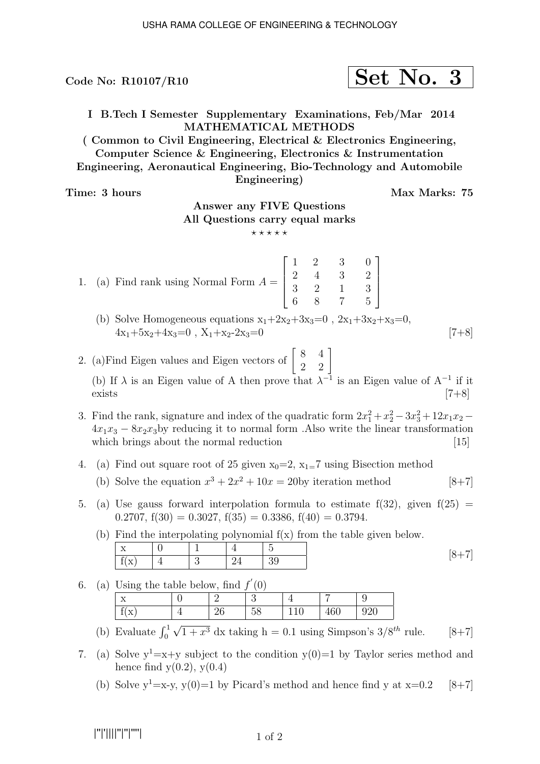Code No:  $R10107/R10$ 

$$
\fbox{Set No. 3}
$$

I B.Tech I Semester Supplementary Examinations, Feb/Mar 2014 MATHEMATICAL METHODS

( Common to Civil Engineering, Electrical & Electronics Engineering, Computer Science & Engineering, Electronics & Instrumentation Engineering, Aeronautical Engineering, Bio-Technology and Automobile Engineering)

Time: 3 hours and the set of the Max Marks: 75

# Answer any FIVE Questions All Questions carry equal marks

- $\star\star\star\star\star$
- 1. (a) Find rank using Normal Form  $A =$  $\sqrt{ }$  $\Big\}$ 1 2 3 6 2 4 2 8 3 3 1 7  $\theta$ 2 3 5 1  $\Bigg\}$ 
	- (b) Solve Homogeneous equations  $x_1+2x_2+3x_3=0$ ,  $2x_1+3x_2+x_3=0$ ,  $4x_1+5x_2+4x_3=0$ ,  $X_1+x_2-2x_3=0$  [7+8]
- 2. (a) Find Eigen values and Eigen vectors of  $\begin{bmatrix} 8 & 4 \\ 2 & 2 \end{bmatrix}$ (b) If  $\lambda$  is an Eigen value of A then prove that  $\lambda^{-1}$  is an Eigen value of A<sup>-1</sup> if it  $exists$  [7+8]
- 3. Find the rank, signature and index of the quadratic form  $2x_1^2 + x_2^2 3x_3^2 + 12x_1x_2 4x_1x_3 - 8x_2x_3$  reducing it to normal form .Also write the linear transformation which brings about the normal reduction [15] which brings about the normal reduction
- 4. (a) Find out square root of 25 given  $x_0=2$ ,  $x_1=7$  using Bisection method
	- (b) Solve the equation  $x^3 + 2x^2 + 10x = 20$  by iteration method [8+7]
- 5. (a) Use gauss forward interpolation formula to estimate  $f(32)$ , given  $f(25) =$ 0.2707,  $f(30) = 0.3027$ ,  $f(35) = 0.3386$ ,  $f(40) = 0.3794$ .

(b) Find the interpolating polynomial f(x) from the table given below.

6. (a) Using the table below, find  $f'(0)$ 

| $\tilde{\phantom{a}}$<br>$-$<br>∡ | _  |         |         |     |     |
|-----------------------------------|----|---------|---------|-----|-----|
| ◠<br>77<br>$\Lambda$              | ∠∪ | -<br>ഄഄ | --<br>◡ | 1 V | ◡▵◡ |

- (b) Evaluate  $\int_0^1 \sqrt{1+x^3} dx$  taking h = 0.1 using Simpson's 3/8<sup>th</sup> rule. [8+7]
- 7. (a) Solve  $y^1=x+y$  subject to the condition  $y(0)=1$  by Taylor series method and hence find  $y(0.2)$ ,  $y(0.4)$ 
	- (b) Solve  $y^1=x-y$ ,  $y(0)=1$  by Picard's method and hence find y at  $x=0.2$  [8+7]

|''|'||||''|''|''''|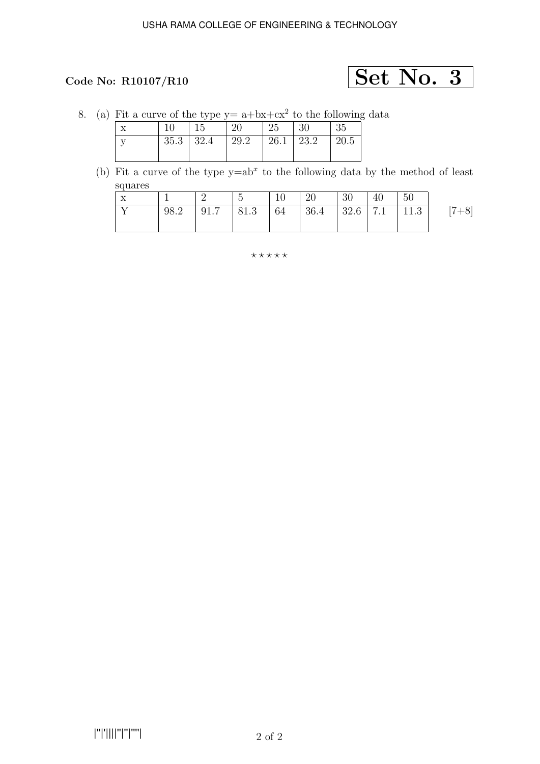# Code No: R10107/R10  $\text{Set No. } 3$

8. (a) Fit a curve of the type  $y = a + bx + cx^2$  to the following data

|         | 15                | 20                 | $^{\circ}$ 25 | -30 | 35   |
|---------|-------------------|--------------------|---------------|-----|------|
| $\cdot$ | $35.3 \, \, 32.4$ | 29.2   26.1   23.2 |               |     | 20.5 |
|         |                   |                    |               |     |      |

(b) Fit a curve of the type  $y=ab^x$  to the following data by the method of least squares

| $\mathbf{X}$ |      | ∠ | $5\overline{)}$ | $^{\prime}$ 10 | <sup>20</sup>                                       | $\vert 30 \vert$ | $\mid$ 40 | -50 |         |
|--------------|------|---|-----------------|----------------|-----------------------------------------------------|------------------|-----------|-----|---------|
| $\mathbf{x}$ | 98.2 |   |                 |                | $\vert$ 91.7   81.3   64   36.4   32.6   7.1   11.3 |                  |           |     | $[7+8]$ |
|              |      |   |                 |                |                                                     |                  |           |     |         |

⋆ ⋆ ⋆ ⋆ ⋆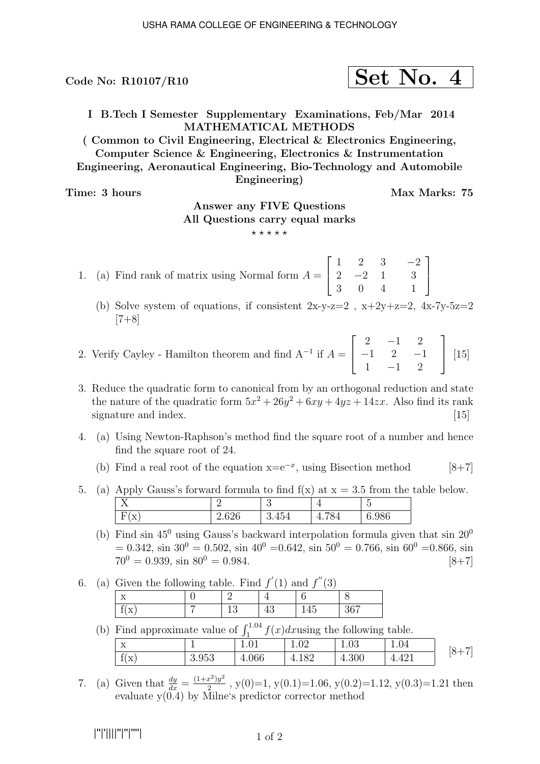I B.Tech I Semester Supplementary Examinations, Feb/Mar 2014 MATHEMATICAL METHODS

( Common to Civil Engineering, Electrical & Electronics Engineering, Computer Science & Engineering, Electronics & Instrumentation Engineering, Aeronautical Engineering, Bio-Technology and Automobile Engineering)

Time: 3 hours Max Marks: 75

1

 $\overline{1}$ 

# Answer any FIVE Questions All Questions carry equal marks

 $***$ \*\*

- 1. (a) Find rank of matrix using Normal form  $A =$  $\sqrt{ }$  $\overline{\phantom{a}}$ 1 2 3  $2 -2 1$ 3 0 4 −2 3 1
	- (b) Solve system of equations, if consistent  $2x-y-z=2$ ,  $x+2y+z=2$ ,  $4x-7y-5z=2$  $[7+8]$
- 2. Verify Cayley Hamilton theorem and find  $A^{-1}$  if  $A =$  $\sqrt{ }$  $\overline{\phantom{a}}$  $2 -1 2$  $-1$  2  $-1$  $1 -1 2$ 1  $\begin{bmatrix} 15 \end{bmatrix}$
- 3. Reduce the quadratic form to canonical from by an orthogonal reduction and state the nature of the quadratic form  $5x^2 + 26y^2 + 6xy + 4yz + 14zx$ . Also find its rank signature and index. [15]
- 4. (a) Using Newton-Raphson's method find the square root of a number and hence find the square root of 24.
	- (b) Find a real root of the equation  $x=e^{-x}$ , using Bisection method [8+7]
- 5. (a) Apply Gauss's forward formula to find  $f(x)$  at  $x = 3.5$  from the table below.  $X$  2 3 4 5  $F(x)$  2.626 3.454 4.784 6.986
	- (b) Find sin  $45^{\circ}$  using Gauss's backward interpolation formula given that sin  $20^{\circ}$  $= 0.342$ , sin  $30^{\circ} = 0.502$ , sin  $40^{\circ} = 0.642$ , sin  $50^{\circ} = 0.766$ , sin  $60^{\circ} = 0.866$ , sin  $70^0 = 0.939$ ,  $\sin 80^0 = 0.984$ . [8+7]
- 6. (a) Given the following table. Find  $f'(1)$  and  $f''(3)$

| $\sim$ $\sim$<br>- - |  |        |               |
|----------------------|--|--------|---------------|
| - 12                 |  | -<br>- | $\sim$ $\sim$ |

| (b) Find approximate value of $\int_1^{1.04} f(x) dx$ using the following table. |       |          |       |       |       |           |  |  |  |  |
|----------------------------------------------------------------------------------|-------|----------|-------|-------|-------|-----------|--|--|--|--|
|                                                                                  |       | $1.01\,$ | 1.02  | 1.03  | 1.04  | $[8 + 7]$ |  |  |  |  |
| f(x)                                                                             | 3.953 | 4.066    | 4.182 | 4.300 | 4.421 |           |  |  |  |  |

7. (a) Given that  $\frac{dy}{dx} = \frac{(1+x^2)y^2}{2}$  $\frac{x^2-y^2}{2}$ , y(0)=1, y(0.1)=1.06, y(0.2)=1.12, y(0.3)=1.21 then evaluate y(0.4) by Milne's predictor corrector method

Code No: R10107/R10  $\left| \text{Set No. 4} \right|$